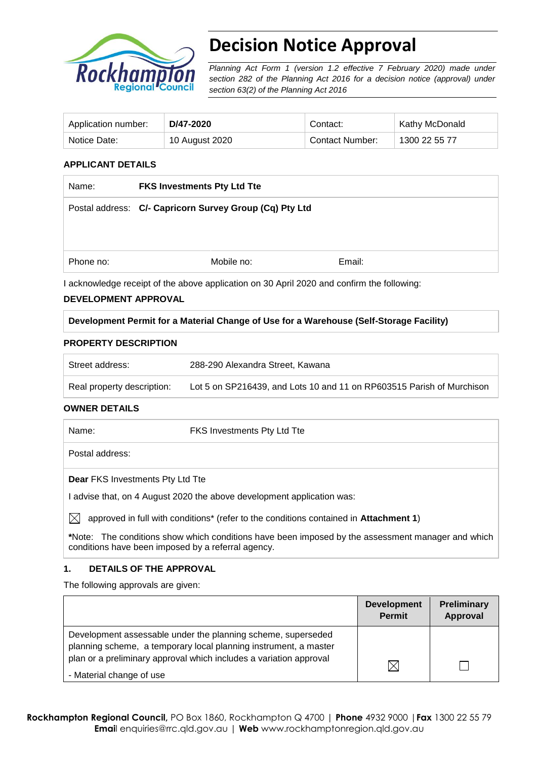

# **Decision Notice Approval**

*Planning Act Form 1 (version 1.2 effective 7 February 2020) made under section 282 of the Planning Act 2016 for a decision notice (approval) under section 63(2) of the Planning Act 2016*

| Application number: | D/47-2020      | Contact:        | <b>Kathy McDonald</b> |
|---------------------|----------------|-----------------|-----------------------|
| Notice Date:        | 10 August 2020 | Contact Number: | 1300 22 55 77         |

## **APPLICANT DETAILS**

| Name:     | <b>FKS Investments Pty Ltd Tte</b>                                                         |        |  |
|-----------|--------------------------------------------------------------------------------------------|--------|--|
|           | Postal address: C/- Capricorn Survey Group (Cq) Pty Ltd                                    |        |  |
|           |                                                                                            |        |  |
| Phone no: | Mobile no:                                                                                 | Email: |  |
|           | I acknowledge receipt of the above application on 30 April 2020 and confirm the following: |        |  |

## **DEVELOPMENT APPROVAL**

## **Development Permit for a Material Change of Use for a Warehouse (Self-Storage Facility)**

#### **PROPERTY DESCRIPTION**

| Street address:            | 288-290 Alexandra Street, Kawana                                      |
|----------------------------|-----------------------------------------------------------------------|
| Real property description: | Lot 5 on SP216439, and Lots 10 and 11 on RP603515 Parish of Murchison |

#### **OWNER DETAILS**

| Name:                                                                  | <b>FKS Investments Pty Ltd Tte</b>                                                    |  |  |  |
|------------------------------------------------------------------------|---------------------------------------------------------------------------------------|--|--|--|
| Postal address:                                                        |                                                                                       |  |  |  |
| <b>Dear FKS Investments Pty Ltd Tte</b>                                |                                                                                       |  |  |  |
| I advise that, on 4 August 2020 the above development application was: |                                                                                       |  |  |  |
|                                                                        | approved in full with conditions* (refer to the conditions contained in Attachment 1) |  |  |  |

**\***Note:The conditions show which conditions have been imposed by the assessment manager and which conditions have been imposed by a referral agency.

#### **1. DETAILS OF THE APPROVAL**

The following approvals are given:

|                                                                                                                                  | <b>Development</b><br><b>Permit</b> | <b>Preliminary</b><br>Approval |
|----------------------------------------------------------------------------------------------------------------------------------|-------------------------------------|--------------------------------|
| Development assessable under the planning scheme, superseded<br>planning scheme, a temporary local planning instrument, a master |                                     |                                |
| plan or a preliminary approval which includes a variation approval<br>- Material change of use                                   | $\boxtimes$                         |                                |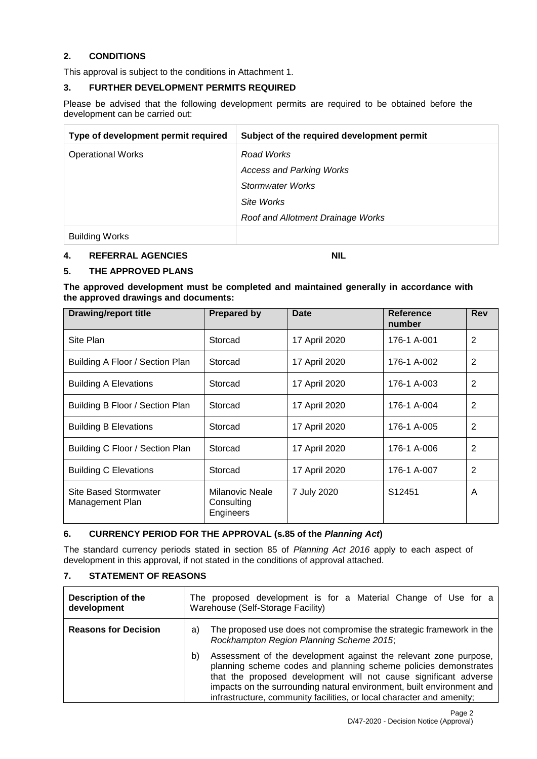## **2. CONDITIONS**

This approval is subject to the conditions in Attachment 1.

#### **3. FURTHER DEVELOPMENT PERMITS REQUIRED**

Please be advised that the following development permits are required to be obtained before the development can be carried out:

| Type of development permit required | Subject of the required development permit |
|-------------------------------------|--------------------------------------------|
| <b>Operational Works</b>            | Road Works                                 |
|                                     | <b>Access and Parking Works</b>            |
|                                     | Stormwater Works                           |
|                                     | Site Works                                 |
|                                     | Roof and Allotment Drainage Works          |
| <b>Building Works</b>               |                                            |

#### **4. REFERRAL AGENCIES NIL**

## **5. THE APPROVED PLANS**

**The approved development must be completed and maintained generally in accordance with the approved drawings and documents:**

| <b>Drawing/report title</b>                     | <b>Prepared by</b>                         | <b>Date</b>   | <b>Reference</b><br>number | <b>Rev</b>     |
|-------------------------------------------------|--------------------------------------------|---------------|----------------------------|----------------|
| Site Plan                                       | Storcad                                    | 17 April 2020 | 176-1 A-001                | 2              |
| Building A Floor / Section Plan                 | Storcad                                    | 17 April 2020 | 176-1 A-002                | $\overline{2}$ |
| <b>Building A Elevations</b>                    | Storcad                                    | 17 April 2020 | 176-1 A-003                | $\overline{2}$ |
| Building B Floor / Section Plan                 | Storcad                                    | 17 April 2020 | 176-1 A-004                | $\overline{2}$ |
| <b>Building B Elevations</b>                    | Storcad                                    | 17 April 2020 | 176-1 A-005                | $\overline{2}$ |
| Building C Floor / Section Plan                 | Storcad                                    | 17 April 2020 | 176-1 A-006                | $\overline{2}$ |
| <b>Building C Elevations</b>                    | Storcad                                    | 17 April 2020 | 176-1 A-007                | 2              |
| <b>Site Based Stormwater</b><br>Management Plan | Milanovic Neale<br>Consulting<br>Engineers | 7 July 2020   | S <sub>12451</sub>         | A              |

## **6. CURRENCY PERIOD FOR THE APPROVAL (s.85 of the** *Planning Act***)**

The standard currency periods stated in section 85 of *Planning Act 2016* apply to each aspect of development in this approval, if not stated in the conditions of approval attached.

#### **7. STATEMENT OF REASONS**

| <b>Description of the</b><br>development | The proposed development is for a Material Change of Use for a<br>Warehouse (Self-Storage Facility)                                                                                                                                                                                                                                                             |  |  |
|------------------------------------------|-----------------------------------------------------------------------------------------------------------------------------------------------------------------------------------------------------------------------------------------------------------------------------------------------------------------------------------------------------------------|--|--|
| <b>Reasons for Decision</b>              | The proposed use does not compromise the strategic framework in the<br>a)<br>Rockhampton Region Planning Scheme 2015;                                                                                                                                                                                                                                           |  |  |
|                                          | Assessment of the development against the relevant zone purpose,<br>b)<br>planning scheme codes and planning scheme policies demonstrates<br>that the proposed development will not cause significant adverse<br>impacts on the surrounding natural environment, built environment and<br>infrastructure, community facilities, or local character and amenity; |  |  |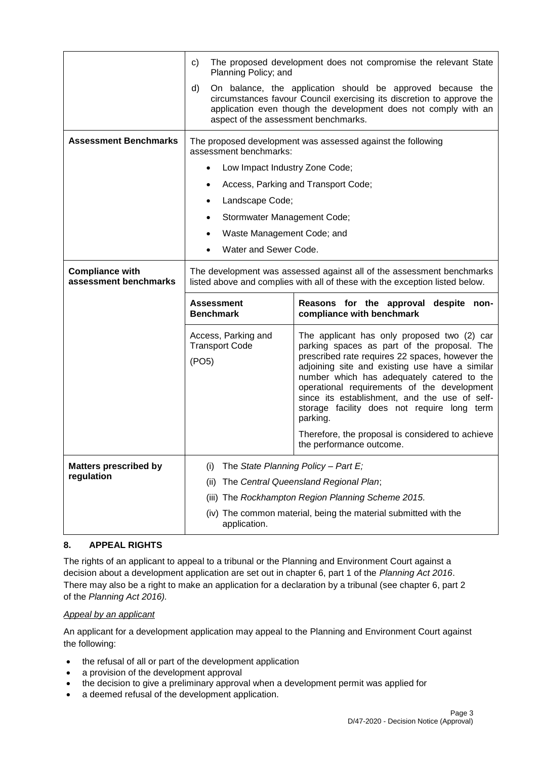|                                                 | The proposed development does not compromise the relevant State<br>C)<br>Planning Policy; and                                                                                                                                                        |                                                                                                                                                                                                                                                                                                                                                                                                          |  |
|-------------------------------------------------|------------------------------------------------------------------------------------------------------------------------------------------------------------------------------------------------------------------------------------------------------|----------------------------------------------------------------------------------------------------------------------------------------------------------------------------------------------------------------------------------------------------------------------------------------------------------------------------------------------------------------------------------------------------------|--|
|                                                 | d)<br>On balance, the application should be approved because the<br>circumstances favour Council exercising its discretion to approve the<br>application even though the development does not comply with an<br>aspect of the assessment benchmarks. |                                                                                                                                                                                                                                                                                                                                                                                                          |  |
| <b>Assessment Benchmarks</b>                    | The proposed development was assessed against the following<br>assessment benchmarks:                                                                                                                                                                |                                                                                                                                                                                                                                                                                                                                                                                                          |  |
|                                                 | Low Impact Industry Zone Code;                                                                                                                                                                                                                       |                                                                                                                                                                                                                                                                                                                                                                                                          |  |
|                                                 | $\bullet$                                                                                                                                                                                                                                            | Access, Parking and Transport Code;                                                                                                                                                                                                                                                                                                                                                                      |  |
|                                                 | Landscape Code;                                                                                                                                                                                                                                      |                                                                                                                                                                                                                                                                                                                                                                                                          |  |
|                                                 | Stormwater Management Code;<br>٠                                                                                                                                                                                                                     |                                                                                                                                                                                                                                                                                                                                                                                                          |  |
|                                                 | Waste Management Code; and                                                                                                                                                                                                                           |                                                                                                                                                                                                                                                                                                                                                                                                          |  |
|                                                 | Water and Sewer Code.                                                                                                                                                                                                                                |                                                                                                                                                                                                                                                                                                                                                                                                          |  |
| <b>Compliance with</b><br>assessment benchmarks | The development was assessed against all of the assessment benchmarks<br>listed above and complies with all of these with the exception listed below.                                                                                                |                                                                                                                                                                                                                                                                                                                                                                                                          |  |
|                                                 | <b>Assessment</b><br>compliance with benchmark<br><b>Benchmark</b>                                                                                                                                                                                   |                                                                                                                                                                                                                                                                                                                                                                                                          |  |
|                                                 |                                                                                                                                                                                                                                                      | Reasons for the approval despite non-                                                                                                                                                                                                                                                                                                                                                                    |  |
|                                                 | Access, Parking and<br><b>Transport Code</b><br>(PO5)                                                                                                                                                                                                | The applicant has only proposed two (2) car<br>parking spaces as part of the proposal. The<br>prescribed rate requires 22 spaces, however the<br>adjoining site and existing use have a similar<br>number which has adequately catered to the<br>operational requirements of the development<br>since its establishment, and the use of self-<br>storage facility does not require long term<br>parking. |  |
|                                                 |                                                                                                                                                                                                                                                      | Therefore, the proposal is considered to achieve<br>the performance outcome.                                                                                                                                                                                                                                                                                                                             |  |
| <b>Matters prescribed by</b>                    | The State Planning Policy - Part E;<br>(1)                                                                                                                                                                                                           |                                                                                                                                                                                                                                                                                                                                                                                                          |  |
| regulation                                      | (ii)                                                                                                                                                                                                                                                 | The Central Queensland Regional Plan;                                                                                                                                                                                                                                                                                                                                                                    |  |
|                                                 |                                                                                                                                                                                                                                                      | (iii) The Rockhampton Region Planning Scheme 2015.                                                                                                                                                                                                                                                                                                                                                       |  |

## **8. APPEAL RIGHTS**

The rights of an applicant to appeal to a tribunal or the Planning and Environment Court against a decision about a development application are set out in chapter 6, part 1 of the *Planning Act 2016*. There may also be a right to make an application for a declaration by a tribunal (see chapter 6, part 2 of the *Planning Act 2016).*

### *Appeal by an applicant*

An applicant for a development application may appeal to the Planning and Environment Court against the following:

- the refusal of all or part of the development application
- a provision of the development approval
- the decision to give a preliminary approval when a development permit was applied for
- a deemed refusal of the development application.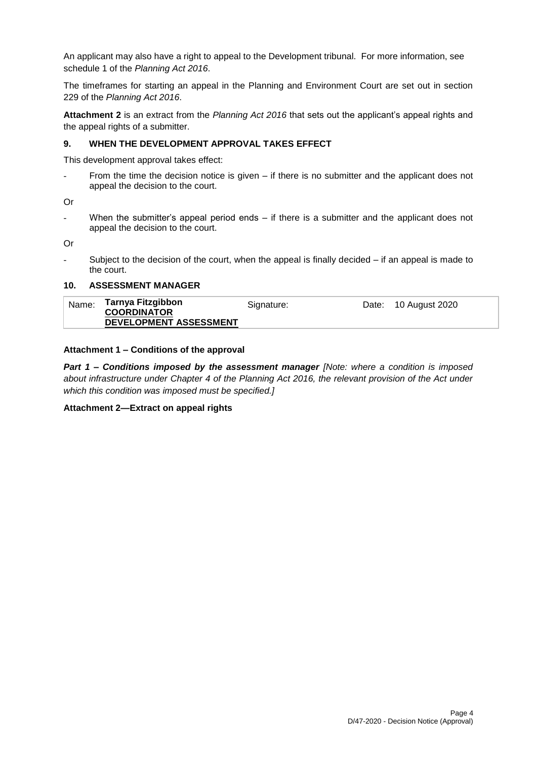An applicant may also have a right to appeal to the Development tribunal. For more information, see schedule 1 of the *Planning Act 2016*.

The timeframes for starting an appeal in the Planning and Environment Court are set out in section 229 of the *Planning Act 2016*.

**Attachment 2** is an extract from the *Planning Act 2016* that sets out the applicant's appeal rights and the appeal rights of a submitter.

#### **9. WHEN THE DEVELOPMENT APPROVAL TAKES EFFECT**

This development approval takes effect:

From the time the decision notice is given  $-$  if there is no submitter and the applicant does not appeal the decision to the court.

Or

When the submitter's appeal period ends  $-$  if there is a submitter and the applicant does not appeal the decision to the court.

Or

Subject to the decision of the court, when the appeal is finally decided  $-$  if an appeal is made to the court.

#### **10. ASSESSMENT MANAGER**

| Name: | Tarnya Fitzgibbon      | Signature: | Date: 10 August 2020 |
|-------|------------------------|------------|----------------------|
|       | <b>COORDINATOR</b>     |            |                      |
|       | DEVELOPMENT ASSESSMENT |            |                      |

#### **Attachment 1 – Conditions of the approval**

*Part 1* **–** *Conditions imposed by the assessment manager [Note: where a condition is imposed about infrastructure under Chapter 4 of the Planning Act 2016, the relevant provision of the Act under which this condition was imposed must be specified.]*

#### **Attachment 2—Extract on appeal rights**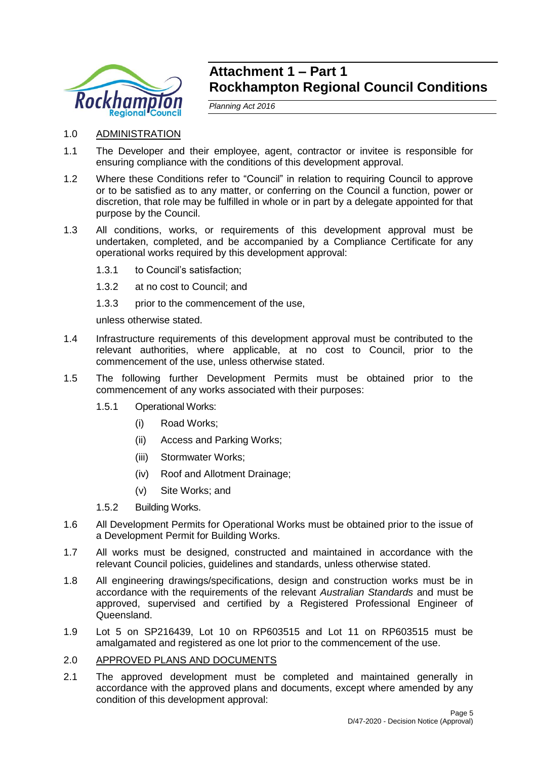

## **Attachment 1 – Part 1 Rockhampton Regional Council Conditions**

*Planning Act 2016*

- 1.0 ADMINISTRATION
- 1.1 The Developer and their employee, agent, contractor or invitee is responsible for ensuring compliance with the conditions of this development approval.
- 1.2 Where these Conditions refer to "Council" in relation to requiring Council to approve or to be satisfied as to any matter, or conferring on the Council a function, power or discretion, that role may be fulfilled in whole or in part by a delegate appointed for that purpose by the Council.
- 1.3 All conditions, works, or requirements of this development approval must be undertaken, completed, and be accompanied by a Compliance Certificate for any operational works required by this development approval:
	- 1.3.1 to Council's satisfaction;
	- 1.3.2 at no cost to Council; and
	- 1.3.3 prior to the commencement of the use,

unless otherwise stated.

- 1.4 Infrastructure requirements of this development approval must be contributed to the relevant authorities, where applicable, at no cost to Council, prior to the commencement of the use, unless otherwise stated.
- 1.5 The following further Development Permits must be obtained prior to the commencement of any works associated with their purposes:
	- 1.5.1 Operational Works:
		- (i) Road Works;
		- (ii) Access and Parking Works;
		- (iii) Stormwater Works;
		- (iv) Roof and Allotment Drainage;
		- (v) Site Works; and
	- 1.5.2 Building Works.
- 1.6 All Development Permits for Operational Works must be obtained prior to the issue of a Development Permit for Building Works.
- 1.7 All works must be designed, constructed and maintained in accordance with the relevant Council policies, guidelines and standards, unless otherwise stated.
- 1.8 All engineering drawings/specifications, design and construction works must be in accordance with the requirements of the relevant *Australian Standards* and must be approved, supervised and certified by a Registered Professional Engineer of Queensland.
- 1.9 Lot 5 on SP216439, Lot 10 on RP603515 and Lot 11 on RP603515 must be amalgamated and registered as one lot prior to the commencement of the use.
- 2.0 APPROVED PLANS AND DOCUMENTS
- 2.1 The approved development must be completed and maintained generally in accordance with the approved plans and documents, except where amended by any condition of this development approval: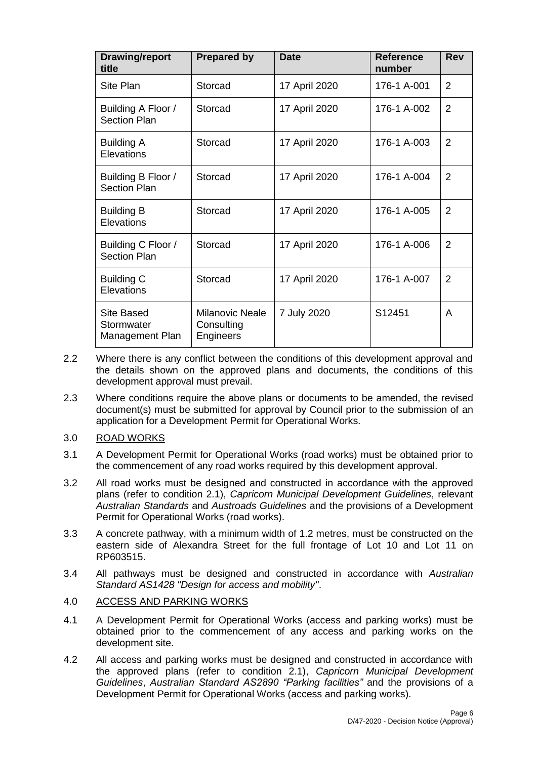| <b>Drawing/report</b><br>title              | <b>Prepared by</b>                                | <b>Date</b>   | <b>Reference</b><br>number | <b>Rev</b>     |
|---------------------------------------------|---------------------------------------------------|---------------|----------------------------|----------------|
| Site Plan                                   | Storcad                                           | 17 April 2020 | 176-1 A-001                | 2              |
| Building A Floor /<br><b>Section Plan</b>   | Storcad                                           | 17 April 2020 | 176-1 A-002                | $\overline{2}$ |
| <b>Building A</b><br>Elevations             | Storcad                                           | 17 April 2020 | 176-1 A-003                | $\overline{2}$ |
| Building B Floor /<br><b>Section Plan</b>   | Storcad                                           | 17 April 2020 | 176-1 A-004                | $\overline{2}$ |
| <b>Building B</b><br>Elevations             | Storcad                                           | 17 April 2020 | 176-1 A-005                | 2              |
| Building C Floor /<br><b>Section Plan</b>   | Storcad                                           | 17 April 2020 | 176-1 A-006                | $\overline{2}$ |
| <b>Building C</b><br>Elevations             | Storcad                                           | 17 April 2020 | 176-1 A-007                | $\overline{2}$ |
| Site Based<br>Stormwater<br>Management Plan | <b>Milanovic Neale</b><br>Consulting<br>Engineers | 7 July 2020   | S12451                     | A              |

- 2.2 Where there is any conflict between the conditions of this development approval and the details shown on the approved plans and documents, the conditions of this development approval must prevail.
- 2.3 Where conditions require the above plans or documents to be amended, the revised document(s) must be submitted for approval by Council prior to the submission of an application for a Development Permit for Operational Works.

## 3.0 ROAD WORKS

- 3.1 A Development Permit for Operational Works (road works) must be obtained prior to the commencement of any road works required by this development approval.
- 3.2 All road works must be designed and constructed in accordance with the approved plans (refer to condition 2.1), *Capricorn Municipal Development Guidelines*, relevant *Australian Standards* and *Austroads Guidelines* and the provisions of a Development Permit for Operational Works (road works).
- 3.3 A concrete pathway, with a minimum width of 1.2 metres, must be constructed on the eastern side of Alexandra Street for the full frontage of Lot 10 and Lot 11 on RP603515.
- 3.4 All pathways must be designed and constructed in accordance with *Australian Standard AS1428 "Design for access and mobility"*.

### 4.0 ACCESS AND PARKING WORKS

- 4.1 A Development Permit for Operational Works (access and parking works) must be obtained prior to the commencement of any access and parking works on the development site.
- 4.2 All access and parking works must be designed and constructed in accordance with the approved plans (refer to condition 2.1), *Capricorn Municipal Development Guidelines*, *Australian Standard AS2890 "Parking facilities"* and the provisions of a Development Permit for Operational Works (access and parking works).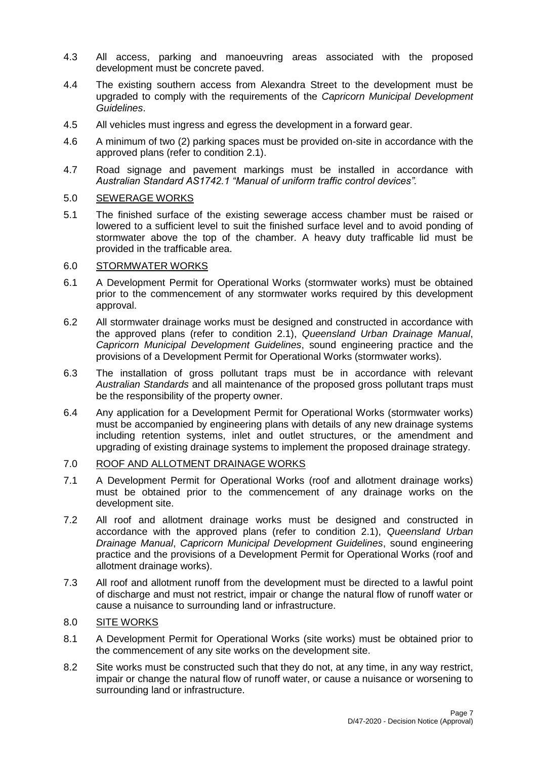- 4.3 All access, parking and manoeuvring areas associated with the proposed development must be concrete paved.
- 4.4 The existing southern access from Alexandra Street to the development must be upgraded to comply with the requirements of the *Capricorn Municipal Development Guidelines*.
- 4.5 All vehicles must ingress and egress the development in a forward gear.
- 4.6 A minimum of two (2) parking spaces must be provided on-site in accordance with the approved plans (refer to condition 2.1).
- 4.7 Road signage and pavement markings must be installed in accordance with *Australian Standard AS1742.1 "Manual of uniform traffic control devices".*

## 5.0 SEWERAGE WORKS

5.1 The finished surface of the existing sewerage access chamber must be raised or lowered to a sufficient level to suit the finished surface level and to avoid ponding of stormwater above the top of the chamber. A heavy duty trafficable lid must be provided in the trafficable area.

## 6.0 STORMWATER WORKS

- 6.1 A Development Permit for Operational Works (stormwater works) must be obtained prior to the commencement of any stormwater works required by this development approval.
- 6.2 All stormwater drainage works must be designed and constructed in accordance with the approved plans (refer to condition 2.1), *Queensland Urban Drainage Manual*, *Capricorn Municipal Development Guidelines*, sound engineering practice and the provisions of a Development Permit for Operational Works (stormwater works).
- 6.3 The installation of gross pollutant traps must be in accordance with relevant *Australian Standards* and all maintenance of the proposed gross pollutant traps must be the responsibility of the property owner.
- 6.4 Any application for a Development Permit for Operational Works (stormwater works) must be accompanied by engineering plans with details of any new drainage systems including retention systems, inlet and outlet structures, or the amendment and upgrading of existing drainage systems to implement the proposed drainage strategy.

## 7.0 ROOF AND ALLOTMENT DRAINAGE WORKS

- 7.1 A Development Permit for Operational Works (roof and allotment drainage works) must be obtained prior to the commencement of any drainage works on the development site.
- 7.2 All roof and allotment drainage works must be designed and constructed in accordance with the approved plans (refer to condition 2.1), *Queensland Urban Drainage Manual*, *Capricorn Municipal Development Guidelines*, sound engineering practice and the provisions of a Development Permit for Operational Works (roof and allotment drainage works).
- 7.3 All roof and allotment runoff from the development must be directed to a lawful point of discharge and must not restrict, impair or change the natural flow of runoff water or cause a nuisance to surrounding land or infrastructure.

## 8.0 SITE WORKS

- 8.1 A Development Permit for Operational Works (site works) must be obtained prior to the commencement of any site works on the development site.
- 8.2 Site works must be constructed such that they do not, at any time, in any way restrict, impair or change the natural flow of runoff water, or cause a nuisance or worsening to surrounding land or infrastructure.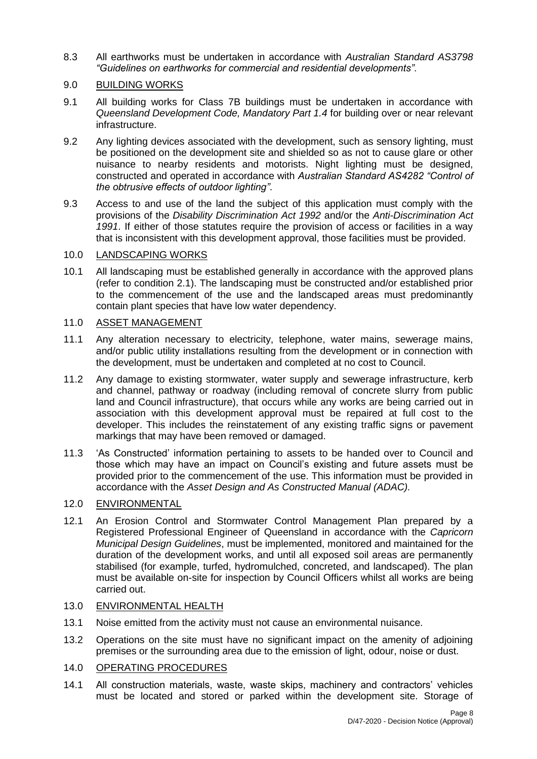8.3 All earthworks must be undertaken in accordance with *Australian Standard AS3798 "Guidelines on earthworks for commercial and residential developments"*.

## 9.0 BUILDING WORKS

- 9.1 All building works for Class 7B buildings must be undertaken in accordance with *Queensland Development Code, Mandatory Part 1.4* for building over or near relevant infrastructure.
- 9.2 Any lighting devices associated with the development, such as sensory lighting, must be positioned on the development site and shielded so as not to cause glare or other nuisance to nearby residents and motorists. Night lighting must be designed, constructed and operated in accordance with *Australian Standard AS4282 "Control of the obtrusive effects of outdoor lighting"*.
- 9.3 Access to and use of the land the subject of this application must comply with the provisions of the *Disability Discrimination Act 1992* and/or the *Anti-Discrimination Act 1991*. If either of those statutes require the provision of access or facilities in a way that is inconsistent with this development approval, those facilities must be provided.

## 10.0 LANDSCAPING WORKS

10.1 All landscaping must be established generally in accordance with the approved plans (refer to condition 2.1). The landscaping must be constructed and/or established prior to the commencement of the use and the landscaped areas must predominantly contain plant species that have low water dependency.

## 11.0 ASSET MANAGEMENT

- 11.1 Any alteration necessary to electricity, telephone, water mains, sewerage mains, and/or public utility installations resulting from the development or in connection with the development, must be undertaken and completed at no cost to Council.
- 11.2 Any damage to existing stormwater, water supply and sewerage infrastructure, kerb and channel, pathway or roadway (including removal of concrete slurry from public land and Council infrastructure), that occurs while any works are being carried out in association with this development approval must be repaired at full cost to the developer. This includes the reinstatement of any existing traffic signs or pavement markings that may have been removed or damaged.
- 11.3 'As Constructed' information pertaining to assets to be handed over to Council and those which may have an impact on Council's existing and future assets must be provided prior to the commencement of the use. This information must be provided in accordance with the *Asset Design and As Constructed Manual (ADAC).*

## 12.0 ENVIRONMENTAL

12.1 An Erosion Control and Stormwater Control Management Plan prepared by a Registered Professional Engineer of Queensland in accordance with the *Capricorn Municipal Design Guidelines*, must be implemented, monitored and maintained for the duration of the development works, and until all exposed soil areas are permanently stabilised (for example, turfed, hydromulched, concreted, and landscaped). The plan must be available on-site for inspection by Council Officers whilst all works are being carried out.

## 13.0 ENVIRONMENTAL HEALTH

- 13.1 Noise emitted from the activity must not cause an environmental nuisance.
- 13.2 Operations on the site must have no significant impact on the amenity of adjoining premises or the surrounding area due to the emission of light, odour, noise or dust.

## 14.0 OPERATING PROCEDURES

14.1 All construction materials, waste, waste skips, machinery and contractors' vehicles must be located and stored or parked within the development site. Storage of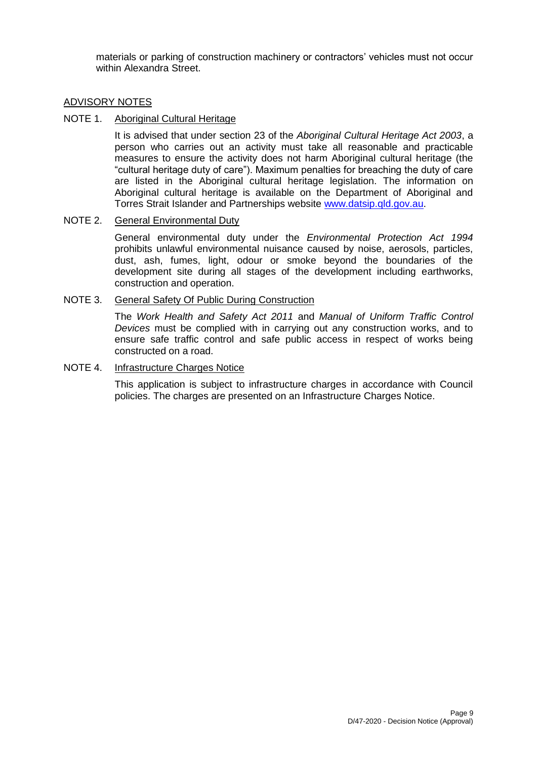materials or parking of construction machinery or contractors' vehicles must not occur within Alexandra Street.

### ADVISORY NOTES

## NOTE 1. Aboriginal Cultural Heritage

It is advised that under section 23 of the *Aboriginal Cultural Heritage Act 2003*, a person who carries out an activity must take all reasonable and practicable measures to ensure the activity does not harm Aboriginal cultural heritage (the "cultural heritage duty of care"). Maximum penalties for breaching the duty of care are listed in the Aboriginal cultural heritage legislation. The information on Aboriginal cultural heritage is available on the Department of Aboriginal and Torres Strait Islander and Partnerships website [www.datsip.qld.gov.au.](http://www.datsip.qld.gov.au/)

#### NOTE 2. General Environmental Duty

General environmental duty under the *Environmental Protection Act 1994* prohibits unlawful environmental nuisance caused by noise, aerosols, particles, dust, ash, fumes, light, odour or smoke beyond the boundaries of the development site during all stages of the development including earthworks, construction and operation.

#### NOTE 3. General Safety Of Public During Construction

The *Work Health and Safety Act 2011* and *Manual of Uniform Traffic Control Devices* must be complied with in carrying out any construction works, and to ensure safe traffic control and safe public access in respect of works being constructed on a road.

#### NOTE 4. Infrastructure Charges Notice

This application is subject to infrastructure charges in accordance with Council policies. The charges are presented on an Infrastructure Charges Notice.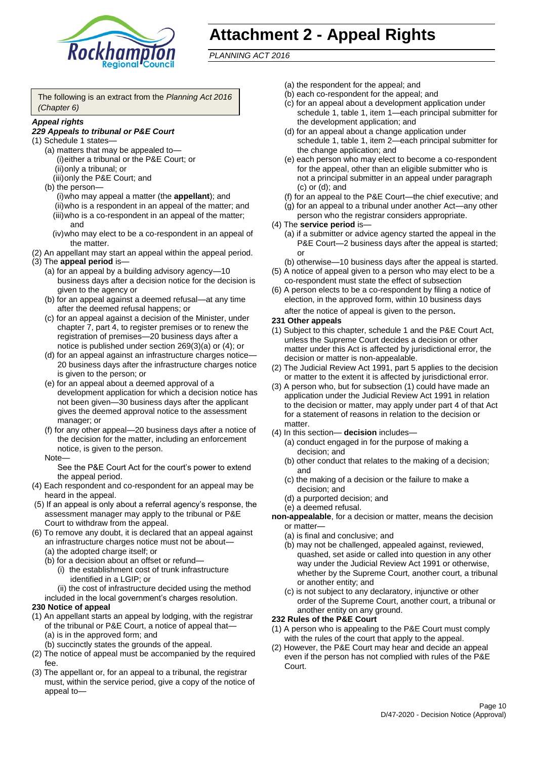

## **Attachment 2 - Appeal Rights**

*PLANNING ACT 2016*

The following is an extract from the *Planning Act 2016 (Chapter 6)*

#### *Appeal rights*

#### *229 Appeals to tribunal or P&E Court*

- (1) Schedule 1 states—
	- (a) matters that may be appealed to— (i)either a tribunal or the P&E Court; or (ii)only a tribunal; or
	- (iii)only the P&E Court; and (b) the person—
		- (i)who may appeal a matter (the **appellant**); and (ii)who is a respondent in an appeal of the matter; and (iii)who is a co-respondent in an appeal of the matter; and
		- (iv)who may elect to be a co-respondent in an appeal of the matter.
- (2) An appellant may start an appeal within the appeal period.
- (3) The **appeal period** is—
	- (a) for an appeal by a building advisory agency—10 business days after a decision notice for the decision is given to the agency or
	- (b) for an appeal against a deemed refusal—at any time after the deemed refusal happens; or
	- (c) for an appeal against a decision of the Minister, under chapter 7, part 4, to register premises or to renew the registration of premises—20 business days after a notice is published under section 269(3)(a) or (4); or
	- (d) for an appeal against an infrastructure charges notice— 20 business days after the infrastructure charges notice is given to the person; or
	- (e) for an appeal about a deemed approval of a development application for which a decision notice has not been given—30 business days after the applicant gives the deemed approval notice to the assessment manager; or
	- (f) for any other appeal—20 business days after a notice of the decision for the matter, including an enforcement notice, is given to the person.

#### Note—

See the P&E Court Act for the court's power to extend the appeal period.

- (4) Each respondent and co-respondent for an appeal may be heard in the appeal.
- (5) If an appeal is only about a referral agency's response, the assessment manager may apply to the tribunal or P&E Court to withdraw from the appeal.
- (6) To remove any doubt, it is declared that an appeal against an infrastructure charges notice must not be about—
	- (a) the adopted charge itself; or
	- (b) for a decision about an offset or refund—
		- (i) the establishment cost of trunk infrastructure identified in a LGIP; or
		- (ii) the cost of infrastructure decided using the method
	- included in the local government's charges resolution.

#### **230 Notice of appeal**

- (1) An appellant starts an appeal by lodging, with the registrar of the tribunal or P&E Court, a notice of appeal that—
	- (a) is in the approved form; and
	- (b) succinctly states the grounds of the appeal.
- (2) The notice of appeal must be accompanied by the required fee.
- (3) The appellant or, for an appeal to a tribunal, the registrar must, within the service period, give a copy of the notice of appeal to—
- (a) the respondent for the appeal; and
- (b) each co-respondent for the appeal; and
- (c) for an appeal about a development application under schedule 1, table 1, item 1—each principal submitter for the development application; and
- (d) for an appeal about a change application under schedule 1, table 1, item 2—each principal submitter for the change application; and
- (e) each person who may elect to become a co-respondent for the appeal, other than an eligible submitter who is not a principal submitter in an appeal under paragraph (c) or (d); and
- (f) for an appeal to the P&E Court—the chief executive; and
- (g) for an appeal to a tribunal under another Act—any other person who the registrar considers appropriate.
- (4) The **service period** is—
	- (a) if a submitter or advice agency started the appeal in the P&E Court—2 business days after the appeal is started; or
	- (b) otherwise—10 business days after the appeal is started.
- (5) A notice of appeal given to a person who may elect to be a co-respondent must state the effect of subsection
- (6) A person elects to be a co-respondent by filing a notice of election, in the approved form, within 10 business days after the notice of appeal is given to the person*.*
- **231 Other appeals**
- (1) Subject to this chapter, schedule 1 and the P&E Court Act, unless the Supreme Court decides a decision or other matter under this Act is affected by jurisdictional error, the decision or matter is non-appealable.
- (2) The Judicial Review Act 1991, part 5 applies to the decision or matter to the extent it is affected by jurisdictional error.
- (3) A person who, but for subsection (1) could have made an application under the Judicial Review Act 1991 in relation to the decision or matter, may apply under part 4 of that Act for a statement of reasons in relation to the decision or matter.
- (4) In this section— **decision** includes—
	- (a) conduct engaged in for the purpose of making a decision; and
	- (b) other conduct that relates to the making of a decision; and
	- (c) the making of a decision or the failure to make a decision; and
	- (d) a purported decision; and
	- (e) a deemed refusal.

**non-appealable**, for a decision or matter, means the decision or matter—

- (a) is final and conclusive; and
- (b) may not be challenged, appealed against, reviewed, quashed, set aside or called into question in any other way under the Judicial Review Act 1991 or otherwise, whether by the Supreme Court, another court, a tribunal or another entity; and
- (c) is not subject to any declaratory, injunctive or other order of the Supreme Court, another court, a tribunal or another entity on any ground.

#### **232 Rules of the P&E Court**

- (1) A person who is appealing to the P&E Court must comply with the rules of the court that apply to the appeal.
- (2) However, the P&E Court may hear and decide an appeal even if the person has not complied with rules of the P&E Court.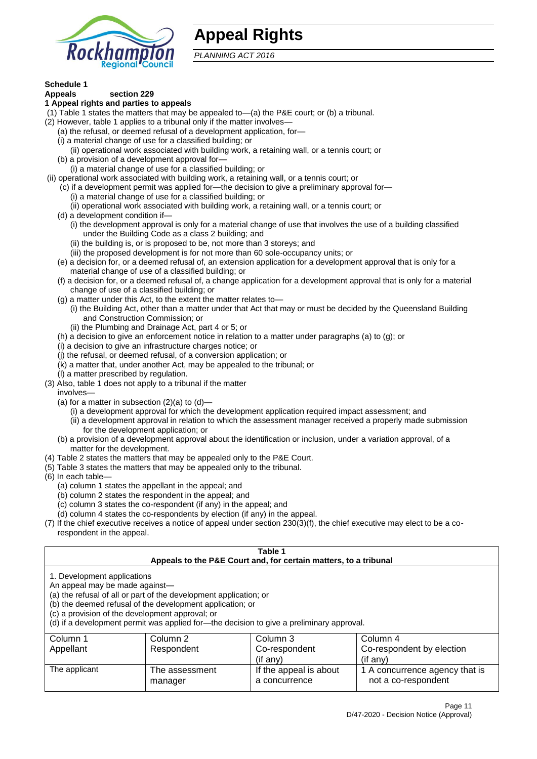

## **Appeal Rights**

*PLANNING ACT 2016*

## **Schedule 1**

#### **Appeals section 229 1 Appeal rights and parties to appeals**

- (1) Table 1 states the matters that may be appealed to—(a) the P&E court; or (b) a tribunal.
- (2) However, table 1 applies to a tribunal only if the matter involves—
	- (a) the refusal, or deemed refusal of a development application, for—
	- (i) a material change of use for a classified building; or
	- (ii) operational work associated with building work, a retaining wall, or a tennis court; or
	- (b) a provision of a development approval for—
	- (i) a material change of use for a classified building; or
- (ii) operational work associated with building work, a retaining wall, or a tennis court; or
	- (c) if a development permit was applied for—the decision to give a preliminary approval for— (i) a material change of use for a classified building; or
	- (ii) operational work associated with building work, a retaining wall, or a tennis court; or
	- (d) a development condition if—
		- (i) the development approval is only for a material change of use that involves the use of a building classified under the Building Code as a class 2 building; and
		- (ii) the building is, or is proposed to be, not more than 3 storeys; and
		- (iii) the proposed development is for not more than 60 sole-occupancy units; or
	- (e) a decision for, or a deemed refusal of, an extension application for a development approval that is only for a material change of use of a classified building; or
	- (f) a decision for, or a deemed refusal of, a change application for a development approval that is only for a material change of use of a classified building; or
	- (g) a matter under this Act, to the extent the matter relates to—
		- (i) the Building Act, other than a matter under that Act that may or must be decided by the Queensland Building and Construction Commission; or
		- (ii) the Plumbing and Drainage Act, part 4 or 5; or
	- (h) a decision to give an enforcement notice in relation to a matter under paragraphs (a) to (g); or
	- (i) a decision to give an infrastructure charges notice; or
	- (j) the refusal, or deemed refusal, of a conversion application; or
	- (k) a matter that, under another Act, may be appealed to the tribunal; or
	- (l) a matter prescribed by regulation.
- (3) Also, table 1 does not apply to a tribunal if the matter

involves—

- (a) for a matter in subsection  $(2)(a)$  to  $(d)$ 
	- (i) a development approval for which the development application required impact assessment; and
	- (ii) a development approval in relation to which the assessment manager received a properly made submission for the development application; or
- (b) a provision of a development approval about the identification or inclusion, under a variation approval, of a matter for the development.
- (4) Table 2 states the matters that may be appealed only to the P&E Court.
- (5) Table 3 states the matters that may be appealed only to the tribunal.
- (6) In each table—
	- (a) column 1 states the appellant in the appeal; and
	- (b) column 2 states the respondent in the appeal; and
	- (c) column 3 states the co-respondent (if any) in the appeal; and
	- (d) column 4 states the co-respondents by election (if any) in the appeal.
- (7) If the chief executive receives a notice of appeal under section 230(3)(f), the chief executive may elect to be a corespondent in the appeal.

| Table 1<br>Appeals to the P&E Court and, for certain matters, to a tribunal                                                                                                                                                                                                                                                                    |                                                          |                        |                                |  |  |  |
|------------------------------------------------------------------------------------------------------------------------------------------------------------------------------------------------------------------------------------------------------------------------------------------------------------------------------------------------|----------------------------------------------------------|------------------------|--------------------------------|--|--|--|
| 1. Development applications<br>An appeal may be made against-<br>(a) the refusal of all or part of the development application; or<br>(b) the deemed refusal of the development application; or<br>(c) a provision of the development approval; or<br>(d) if a development permit was applied for-the decision to give a preliminary approval. |                                                          |                        |                                |  |  |  |
| Column 1                                                                                                                                                                                                                                                                                                                                       | Column 2                                                 | Column 3               | Column 4                       |  |  |  |
| Appellant                                                                                                                                                                                                                                                                                                                                      | Co-respondent<br>Co-respondent by election<br>Respondent |                        |                                |  |  |  |
| (if any)<br>$($ if any $)$                                                                                                                                                                                                                                                                                                                     |                                                          |                        |                                |  |  |  |
| The applicant                                                                                                                                                                                                                                                                                                                                  | The assessment                                           | If the appeal is about | 1 A concurrence agency that is |  |  |  |
| not a co-respondent<br>a concurrence<br>manager                                                                                                                                                                                                                                                                                                |                                                          |                        |                                |  |  |  |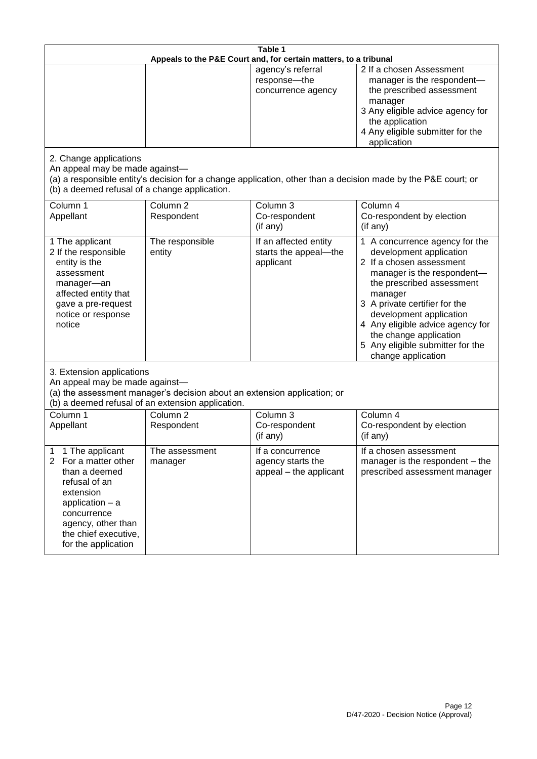| Table 1<br>Appeals to the P&E Court and, for certain matters, to a tribunal                                                                                                                                          |                                   |                                                                 |                                                                                                                                                                                                                                                                                                                                                 |
|----------------------------------------------------------------------------------------------------------------------------------------------------------------------------------------------------------------------|-----------------------------------|-----------------------------------------------------------------|-------------------------------------------------------------------------------------------------------------------------------------------------------------------------------------------------------------------------------------------------------------------------------------------------------------------------------------------------|
|                                                                                                                                                                                                                      |                                   | agency's referral<br>response-the<br>concurrence agency         | 2 If a chosen Assessment<br>manager is the respondent-<br>the prescribed assessment<br>manager<br>3 Any eligible advice agency for<br>the application<br>4 Any eligible submitter for the<br>application                                                                                                                                        |
| 2. Change applications<br>An appeal may be made against-<br>(b) a deemed refusal of a change application.                                                                                                            |                                   |                                                                 | (a) a responsible entity's decision for a change application, other than a decision made by the P&E court; or                                                                                                                                                                                                                                   |
| Column 1<br>Appellant                                                                                                                                                                                                | Column <sub>2</sub><br>Respondent | Column 3<br>Co-respondent<br>(if any)                           | Column 4<br>Co-respondent by election<br>(if any)                                                                                                                                                                                                                                                                                               |
| 1 The applicant<br>2 If the responsible<br>entity is the<br>assessment<br>manager-an<br>affected entity that<br>gave a pre-request<br>notice or response<br>notice                                                   | The responsible<br>entity         | If an affected entity<br>starts the appeal-the<br>applicant     | 1 A concurrence agency for the<br>development application<br>2 If a chosen assessment<br>manager is the respondent-<br>the prescribed assessment<br>manager<br>3 A private certifier for the<br>development application<br>4 Any eligible advice agency for<br>the change application<br>5 Any eligible submitter for the<br>change application |
| 3. Extension applications<br>An appeal may be made against-<br>(a) the assessment manager's decision about an extension application; or<br>(b) a deemed refusal of an extension application.                         |                                   |                                                                 |                                                                                                                                                                                                                                                                                                                                                 |
| Column 1<br>Appellant                                                                                                                                                                                                | Column <sub>2</sub><br>Respondent | Column 3<br>Co-respondent<br>(if any)                           | Column 4<br>Co-respondent by election<br>(if any)                                                                                                                                                                                                                                                                                               |
| 1 The applicant<br>1<br>$\overline{2}$<br>For a matter other<br>than a deemed<br>refusal of an<br>extension<br>application $-$ a<br>concurrence<br>agency, other than<br>the chief executive,<br>for the application | The assessment<br>manager         | If a concurrence<br>agency starts the<br>appeal - the applicant | If a chosen assessment<br>manager is the respondent – the<br>prescribed assessment manager                                                                                                                                                                                                                                                      |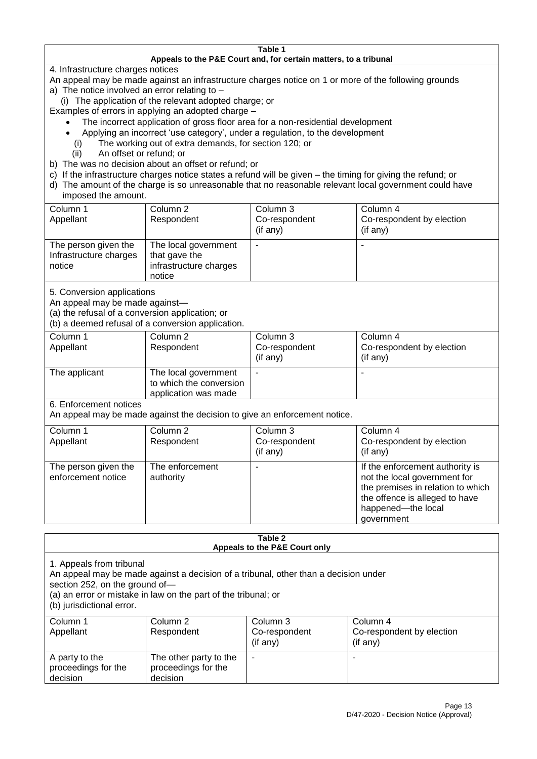#### **Table 1 Appeals to the P&E Court and, for certain matters, to a tribunal**

4. Infrastructure charges notices

- An appeal may be made against an infrastructure charges notice on 1 or more of the following grounds
- a) The notice involved an error relating to
	- (i) The application of the relevant adopted charge; or
- Examples of errors in applying an adopted charge
	- The incorrect application of gross floor area for a non-residential development
	- Applying an incorrect 'use category', under a regulation, to the development
	- (i) The working out of extra demands, for section 120; or
	- (ii) An offset or refund; or
- b) The was no decision about an offset or refund; or
- c) If the infrastructure charges notice states a refund will be given the timing for giving the refund; or
- d) The amount of the charge is so unreasonable that no reasonable relevant local government could have

## imposed the amount.

| Column 1<br>Appellant                                    | Column 2<br>Respondent                                                    | Column 3<br>Co-respondent<br>(if any) | Column 4<br>Co-respondent by election<br>(if any) |
|----------------------------------------------------------|---------------------------------------------------------------------------|---------------------------------------|---------------------------------------------------|
| The person given the<br>Infrastructure charges<br>notice | The local government<br>that gave the<br>infrastructure charges<br>notice |                                       |                                                   |

5. Conversion applications

An appeal may be made against—

(a) the refusal of a conversion application; or

(b) a deemed refusal of a conversion application.

| Column 1      | Column 2                | Column 3       | Column 4                  |
|---------------|-------------------------|----------------|---------------------------|
| Appellant     | Respondent              | Co-respondent  | Co-respondent by election |
|               |                         | $($ if any $)$ | $($ if any $)$            |
| The applicant | The local government    |                |                           |
|               | to which the conversion |                |                           |
|               | application was made    |                |                           |

6. Enforcement notices

An appeal may be made against the decision to give an enforcement notice.

| Column 1<br>Column 4<br>Column 2<br>Column 3<br>Co-respondent<br>Co-respondent by election<br>Appellant<br>Respondent<br>(if any)<br>(if any)<br>The enforcement<br>If the enforcement authority is<br>The person given the<br>not the local government for<br>enforcement notice<br>authority<br>the offence is alleged to have<br>happened-the local |  |                                   |
|--------------------------------------------------------------------------------------------------------------------------------------------------------------------------------------------------------------------------------------------------------------------------------------------------------------------------------------------------------|--|-----------------------------------|
|                                                                                                                                                                                                                                                                                                                                                        |  |                                   |
|                                                                                                                                                                                                                                                                                                                                                        |  |                                   |
|                                                                                                                                                                                                                                                                                                                                                        |  |                                   |
| government                                                                                                                                                                                                                                                                                                                                             |  | the premises in relation to which |

#### **Table 2 Appeals to the P&E Court only**

1. Appeals from tribunal

An appeal may be made against a decision of a tribunal, other than a decision under

section 252, on the ground of—

(a) an error or mistake in law on the part of the tribunal; or

(b) jurisdictional error.

| Column 1<br>Appellant                             | Column 2<br>Respondent                                    | Column 3<br>Co-respondent<br>$($ if any $)$ | Column 4<br>Co-respondent by election<br>(if any) |
|---------------------------------------------------|-----------------------------------------------------------|---------------------------------------------|---------------------------------------------------|
| A party to the<br>proceedings for the<br>decision | The other party to the<br>proceedings for the<br>decision | ۰                                           |                                                   |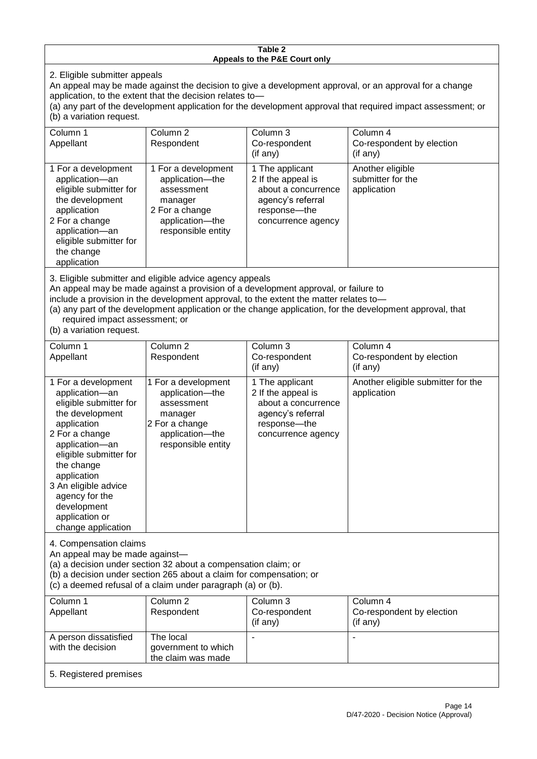#### **Table 2 Appeals to the P&E Court only**

2. Eligible submitter appeals

An appeal may be made against the decision to give a development approval, or an approval for a change application, to the extent that the decision relates to—

(a) any part of the development application for the development approval that required impact assessment; or (b) a variation request.

| Column 1<br>Appellant                                                                                                                                                                                                                                                                                                                                                                                              | Column <sub>2</sub><br>Respondent                                                                                          | Column 3<br>Co-respondent<br>(if any)                                                                                   | Column 4<br>Co-respondent by election<br>(if any)    |
|--------------------------------------------------------------------------------------------------------------------------------------------------------------------------------------------------------------------------------------------------------------------------------------------------------------------------------------------------------------------------------------------------------------------|----------------------------------------------------------------------------------------------------------------------------|-------------------------------------------------------------------------------------------------------------------------|------------------------------------------------------|
| 1 For a development<br>application-an<br>eligible submitter for<br>the development<br>application<br>2 For a change<br>application-an<br>eligible submitter for<br>the change<br>application                                                                                                                                                                                                                       | 1 For a development<br>application-the<br>assessment<br>manager<br>2 For a change<br>application-the<br>responsible entity | 1 The applicant<br>2 If the appeal is<br>about a concurrence<br>agency's referral<br>response-the<br>concurrence agency | Another eligible<br>submitter for the<br>application |
| 3. Eligible submitter and eligible advice agency appeals<br>An appeal may be made against a provision of a development approval, or failure to<br>include a provision in the development approval, to the extent the matter relates to-<br>(a) any part of the development application or the change application, for the development approval, that<br>required impact assessment; or<br>(b) a variation request. |                                                                                                                            |                                                                                                                         |                                                      |
| Column 1<br>Appellant                                                                                                                                                                                                                                                                                                                                                                                              | Column <sub>2</sub><br>Respondent                                                                                          | Column 3<br>Co-respondent<br>(if any)                                                                                   | Column 4<br>Co-respondent by election<br>(if any)    |

|                                                                                                                                                                                                                                                                                               |                                                                                                                               | (II aliy)                                                                                                               | (ii aliy)                                         |
|-----------------------------------------------------------------------------------------------------------------------------------------------------------------------------------------------------------------------------------------------------------------------------------------------|-------------------------------------------------------------------------------------------------------------------------------|-------------------------------------------------------------------------------------------------------------------------|---------------------------------------------------|
| 1 For a development<br>application-an<br>eligible submitter for<br>the development<br>application<br>2 For a change<br>application-an<br>eligible submitter for<br>the change<br>application<br>3 An eligible advice<br>agency for the<br>development<br>application or<br>change application | 1 For a development<br>application----the<br>assessment<br>manager<br>2 For a change<br>application-the<br>responsible entity | 1 The applicant<br>2 If the appeal is<br>about a concurrence<br>agency's referral<br>response—the<br>concurrence agency | Another eligible submitter for the<br>application |

4. Compensation claims

An appeal may be made against—

(a) a decision under section 32 about a compensation claim; or

(b) a decision under section 265 about a claim for compensation; or

(c) a deemed refusal of a claim under paragraph (a) or (b).

| Column 1               | Column 2            | Column 3      | Column 4                  |  |  |
|------------------------|---------------------|---------------|---------------------------|--|--|
| Appellant              | Respondent          | Co-respondent | Co-respondent by election |  |  |
|                        |                     | (if any)      | (if any)                  |  |  |
| A person dissatisfied  | The local           |               |                           |  |  |
| with the decision      | government to which |               |                           |  |  |
| the claim was made     |                     |               |                           |  |  |
| 5. Registered premises |                     |               |                           |  |  |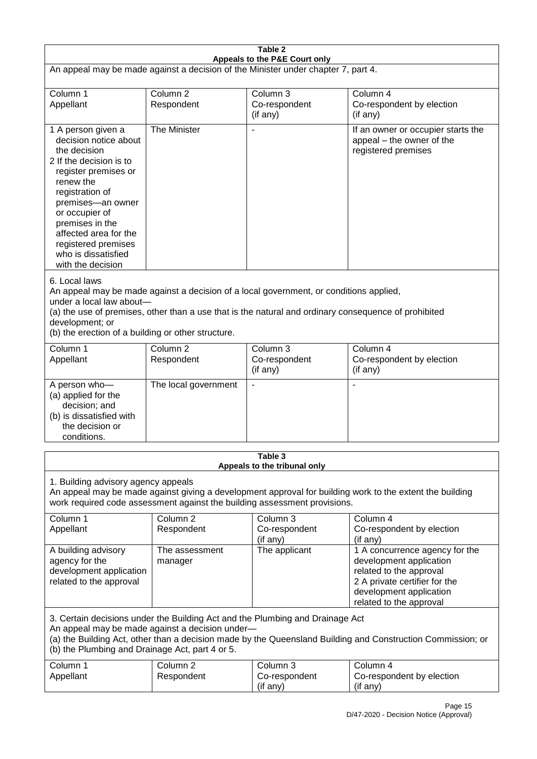| Table 2                                                                                                                                                                                                                                                                                                              |                                   |                                                  |                                                                                                                                                                             |  |
|----------------------------------------------------------------------------------------------------------------------------------------------------------------------------------------------------------------------------------------------------------------------------------------------------------------------|-----------------------------------|--------------------------------------------------|-----------------------------------------------------------------------------------------------------------------------------------------------------------------------------|--|
| Appeals to the P&E Court only<br>An appeal may be made against a decision of the Minister under chapter 7, part 4.                                                                                                                                                                                                   |                                   |                                                  |                                                                                                                                                                             |  |
| Column 1<br>Appellant                                                                                                                                                                                                                                                                                                | Column <sub>2</sub><br>Respondent | Column 3<br>Co-respondent<br>(if any)            | Column 4<br>Co-respondent by election<br>(if any)                                                                                                                           |  |
| 1 A person given a<br>decision notice about<br>the decision<br>2 If the decision is to<br>register premises or<br>renew the<br>registration of<br>premises-an owner<br>or occupier of<br>premises in the<br>affected area for the<br>registered premises<br>who is dissatisfied<br>with the decision                 | The Minister                      | $\blacksquare$                                   | If an owner or occupier starts the<br>appeal - the owner of the<br>registered premises                                                                                      |  |
| 6. Local laws<br>An appeal may be made against a decision of a local government, or conditions applied,<br>under a local law about-<br>(a) the use of premises, other than a use that is the natural and ordinary consequence of prohibited<br>development; or<br>(b) the erection of a building or other structure. |                                   |                                                  |                                                                                                                                                                             |  |
| Column 1<br>Appellant                                                                                                                                                                                                                                                                                                | Column <sub>2</sub><br>Respondent | Column <sub>3</sub><br>Co-respondent<br>(if any) | Column 4<br>Co-respondent by election<br>(if any)                                                                                                                           |  |
| A person who-<br>(a) applied for the<br>decision; and<br>(b) is dissatisfied with<br>the decision or<br>conditions.                                                                                                                                                                                                  | The local government              | $\overline{\phantom{a}}$                         |                                                                                                                                                                             |  |
|                                                                                                                                                                                                                                                                                                                      |                                   | Table 3<br>Appeals to the tribunal only          |                                                                                                                                                                             |  |
| 1. Building advisory agency appeals<br>An appeal may be made against giving a development approval for building work to the extent the building<br>work required code assessment against the building assessment provisions.                                                                                         |                                   |                                                  |                                                                                                                                                                             |  |
| Column 1<br>Appellant                                                                                                                                                                                                                                                                                                | Column <sub>2</sub><br>Respondent | Column <sub>3</sub><br>Co-respondent<br>(if any) | Column 4<br>Co-respondent by election<br>(if any)                                                                                                                           |  |
| A building advisory<br>agency for the<br>development application<br>related to the approval                                                                                                                                                                                                                          | The assessment<br>manager         | The applicant                                    | 1 A concurrence agency for the<br>development application<br>related to the approval<br>2 A private certifier for the<br>development application<br>related to the approval |  |
| 3. Certain decisions under the Building Act and the Plumbing and Drainage Act<br>An appeal may be made against a decision under-<br>(a) the Building Act, other than a decision made by the Queensland Building and Construction Commission; or<br>(b) the Plumbing and Drainage Act, part 4 or 5.                   |                                   |                                                  |                                                                                                                                                                             |  |
| Column 1<br>Appellant                                                                                                                                                                                                                                                                                                | Column <sub>2</sub><br>Respondent | Column 3<br>Co-respondent<br>(if any)            | Column 4<br>Co-respondent by election<br>(if any)                                                                                                                           |  |